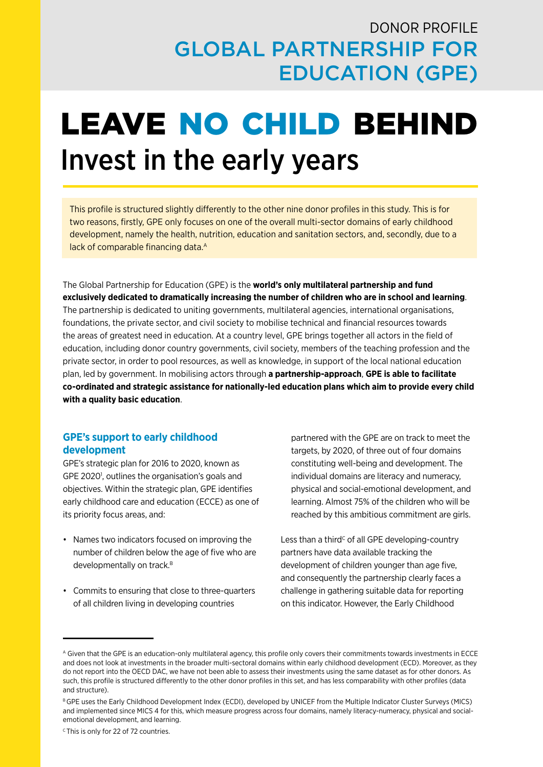# DONOR PROFILE GLOBAL PARTNERSHIP FOR EDUCATION (GPE)

# LEAVE NO CHILD BEHIND Invest in the early years

This profile is structured slightly differently to the other nine donor profiles in this study. This is for two reasons, firstly, GPE only focuses on one of the overall multi-sector domains of early childhood development, namely the health, nutrition, education and sanitation sectors, and, secondly, due to a lack of comparable financing data.<sup>A</sup>

The Global Partnership for Education (GPE) is the **world's only multilateral partnership and fund exclusively dedicated to dramatically increasing the number of children who are in school and learning**. The partnership is dedicated to uniting governments, multilateral agencies, international organisations, foundations, the private sector, and civil society to mobilise technical and financial resources towards the areas of greatest need in education. At a country level, GPE brings together all actors in the field of education, including donor country governments, civil society, members of the teaching profession and the private sector, in order to pool resources, as well as knowledge, in support of the local national education plan, led by government. In mobilising actors through **a partnership-approach**, **GPE is able to facilitate co-ordinated and strategic assistance for nationally-led education plans which aim to provide every child with a quality basic education**.

### **GPE's support to early childhood development**

GPE's strategic plan for 2016 to 2020, known as GPE 2020<sup>1</sup>, outlines the organisation's goals and objectives. Within the strategic plan, GPE identifies early childhood care and education (ECCE) as one of its priority focus areas, and:

- Names two indicators focused on improving the number of children below the age of five who are developmentally on track.<sup>B</sup>
- Commits to ensuring that close to three-quarters of all children living in developing countries

partnered with the GPE are on track to meet the targets, by 2020, of three out of four domains constituting well-being and development. The individual domains are literacy and numeracy, physical and social-emotional development, and learning. Almost 75% of the children who will be reached by this ambitious commitment are girls.

Less than a third<sup>c</sup> of all GPE developing-country partners have data available tracking the development of children younger than age five, and consequently the partnership clearly faces a challenge in gathering suitable data for reporting on this indicator. However, the Early Childhood

A Given that the GPE is an education-only multilateral agency, this profile only covers their commitments towards investments in ECCE and does not look at investments in the broader multi-sectoral domains within early childhood development (ECD). Moreover, as they do not report into the OECD DAC, we have not been able to assess their investments using the same dataset as for other donors. As such, this profile is structured differently to the other donor profiles in this set, and has less comparability with other profiles (data and structure).

B GPE uses the Early Childhood Development Index (ECDI), developed by UNICEF from the Multiple Indicator Cluster Surveys (MICS) and implemented since MICS 4 for this, which measure progress across four domains, namely literacy-numeracy, physical and socialemotional development, and learning.

 $c$  This is only for 22 of 72 countries.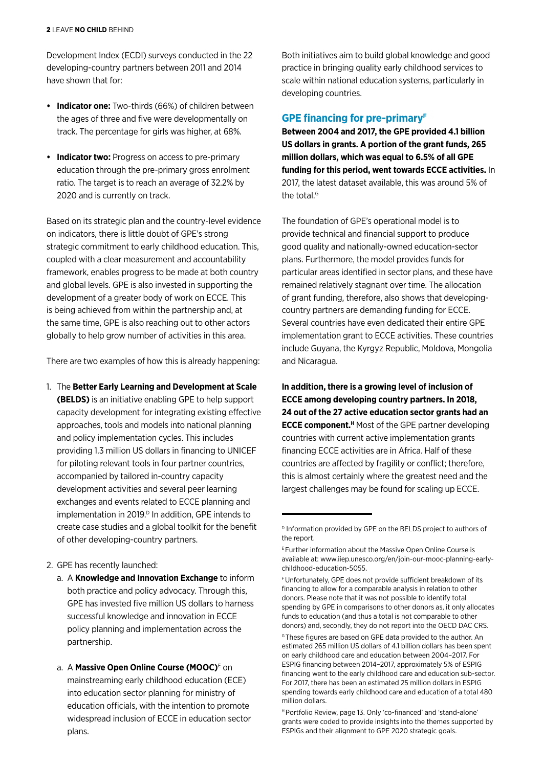Development Index (ECDI) surveys conducted in the 22 developing-country partners between 2011 and 2014 have shown that for:

- **• Indicator one:** Two-thirds (66%) of children between the ages of three and five were developmentally on track. The percentage for girls was higher, at 68%.
- **• Indicator two:** Progress on access to pre-primary education through the pre-primary gross enrolment ratio. The target is to reach an average of 32.2% by 2020 and is currently on track.

Based on its strategic plan and the country-level evidence on indicators, there is little doubt of GPE's strong strategic commitment to early childhood education. This, coupled with a clear measurement and accountability framework, enables progress to be made at both country and global levels. GPE is also invested in supporting the development of a greater body of work on ECCE. This is being achieved from within the partnership and, at the same time, GPE is also reaching out to other actors globally to help grow number of activities in this area.

There are two examples of how this is already happening:

- 1. The **Better Early Learning and Development at Scale (BELDS)** is an initiative enabling GPE to help support capacity development for integrating existing effective approaches, tools and models into national planning and policy implementation cycles. This includes providing 1.3 million US dollars in financing to UNICEF for piloting relevant tools in four partner countries, accompanied by tailored in-country capacity development activities and several peer learning exchanges and events related to ECCE planning and implementation in 2019.<sup>D</sup> In addition, GPE intends to create case studies and a global toolkit for the benefit of other developing-country partners.
- 2. GPE has recently launched:
	- a. A **Knowledge and Innovation Exchange** to inform both practice and policy advocacy. Through this, GPE has invested five million US dollars to harness successful knowledge and innovation in ECCE policy planning and implementation across the partnership.
	- a. A **[Massive Open Online Course \(MOOC](http://www.iiep.unesco.org/en/join-our-mooc-planning-early-childhood-education-5055))**<sup>E</sup> on mainstreaming early childhood education (ECE) into education sector planning for ministry of education officials, with the intention to promote widespread inclusion of ECCE in education sector plans.

Both initiatives aim to build global knowledge and good practice in bringing quality early childhood services to scale within national education systems, particularly in developing countries.

## **GPE financing for pre-primaryF**

**Between 2004 and 2017, the GPE provided 4.1 billion US dollars in grants. A portion of the grant funds, 265 million dollars, which was equal to 6.5% of all GPE funding for this period, went towards ECCE activities.** In 2017, the latest dataset available, this was around 5% of the total.<sup>G</sup>

The foundation of GPE's operational model is to provide technical and financial support to produce good quality and nationally-owned education-sector plans. Furthermore, the model provides funds for particular areas identified in sector plans, and these have remained relatively stagnant over time. The allocation of grant funding, therefore, also shows that developingcountry partners are demanding funding for ECCE. Several countries have even dedicated their entire GPE implementation grant to ECCE activities. These countries include Guyana, the Kyrgyz Republic, Moldova, Mongolia and Nicaragua.

**In addition, there is a growing level of inclusion of ECCE among developing country partners. In 2018, 24 out of the 27 active education sector grants had an ECCE component.<sup>H</sup>** Most of the GPE partner developing countries with current active implementation grants financing ECCE activities are in Africa. Half of these countries are affected by fragility or conflict; therefore, this is almost certainly where the greatest need and the largest challenges may be found for scaling up ECCE.

D Information provided by GPE on the BELDS project to authors of the report.

E Further information about the Massive Open Online Course is available at: www.iiep.unesco.org/en/join-our-mooc-planning-earlychildhood-education-5055.

F Unfortunately, GPE does not provide sufficient breakdown of its financing to allow for a comparable analysis in relation to other donors. Please note that it was not possible to identify total spending by GPE in comparisons to other donors as, it only allocates funds to education (and thus a total is not comparable to other donors) and, secondly, they do not report into the OECD DAC CRS.

G These figures are based on GPE data provided to the author. An estimated 265 million US dollars of 4.1 billion dollars has been spent on early childhood care and education between 2004–2017. For ESPIG financing between 2014–2017, approximately 5% of ESPIG financing went to the early childhood care and education sub-sector. For 2017, there has been an estimated 25 million dollars in ESPIG spending towards early childhood care and education of a total 480 million dollars.

H Portfolio Review, page 13. Only 'co-financed' and 'stand-alone' grants were coded to provide insights into the themes supported by ESPIGs and their alignment to GPE 2020 strategic goals.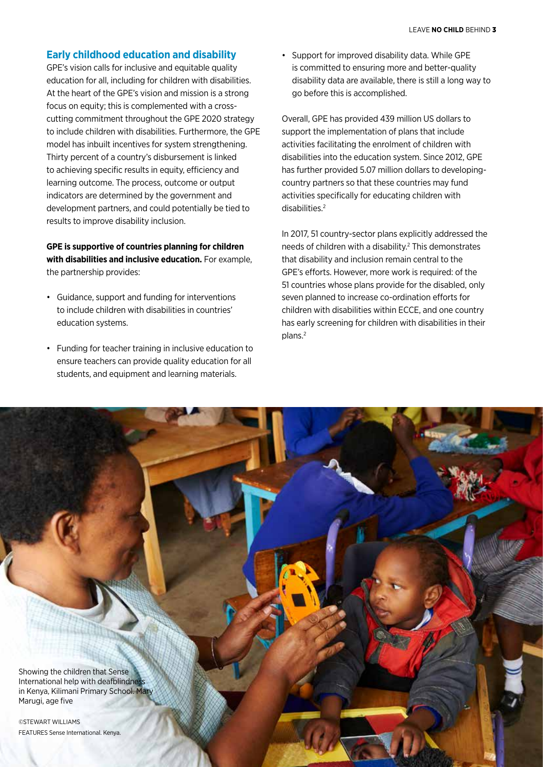#### **Early childhood education and disability**

GPE's vision calls for inclusive and equitable quality education for all, including for children with disabilities. At the heart of the GPE's vision and mission is a strong focus on equity; this is complemented with a crosscutting commitment throughout the GPE 2020 strategy to include children with disabilities. Furthermore, the GPE model has inbuilt incentives for system strengthening. Thirty percent of a country's disbursement is linked to achieving specific results in equity, efficiency and learning outcome. The process, outcome or output indicators are determined by the government and development partners, and could potentially be tied to results to improve disability inclusion.

**GPE is supportive of countries planning for children with disabilities and inclusive education.** For example, the partnership provides:

- Guidance, support and funding for interventions to include children with disabilities in countries' education systems.
- Funding for teacher training in inclusive education to ensure teachers can provide quality education for all students, and equipment and learning materials.

• Support for improved disability data. While GPE is committed to ensuring more and better-quality disability data are available, there is still a long way to go before this is accomplished.

Overall, GPE has provided 439 million US dollars to support the implementation of plans that include activities facilitating the enrolment of children with disabilities into the education system. Since 2012, GPE has further provided 5.07 million dollars to developingcountry partners so that these countries may fund activities specifically for educating children with disabilities.2

In 2017, 51 country-sector plans explicitly addressed the needs of children with a disability.<sup>2</sup> This demonstrates that disability and inclusion remain central to the GPE's efforts. However, more work is required: of the 51 countries whose plans provide for the disabled, only seven planned to increase co-ordination efforts for children with disabilities within ECCE, and one country has early screening for children with disabilities in their plans.2

Showing the children that Sense International help with deafblindnes in Kenya, Kilimani Primary School. Mary Marugi, age five

©STEWART WILLIAMS FEATURES Sense International. Kenya.